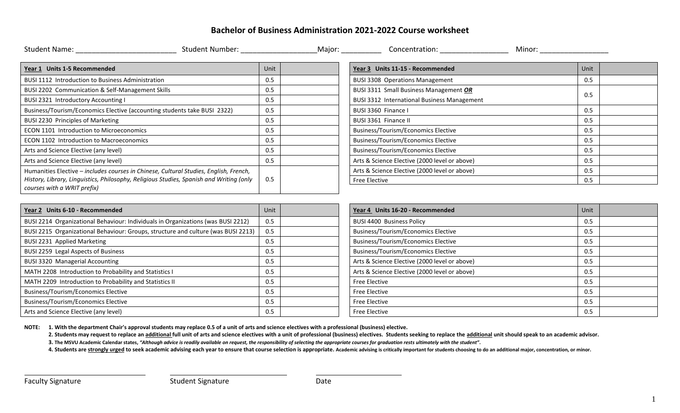## **Bachelor of Business Administration 2021-2022 Course worksheet**

| Student Number: The Contract of the Student Number:<br>Student Name: The Contract of The Contract of The Contract of The Contract of The Contract of The Contract of T |      | Major: Concentration:                              | Minor: |
|------------------------------------------------------------------------------------------------------------------------------------------------------------------------|------|----------------------------------------------------|--------|
| Year 1 Units 1-5 Recommended                                                                                                                                           | Unit | Year 3 Units 11-15 - Recommended                   | Unit   |
| BUSI 1112 Introduction to Business Administration                                                                                                                      | 0.5  | <b>BUSI 3308 Operations Management</b>             | 0.5    |
| BUSI 2202 Communication & Self-Management Skills                                                                                                                       | 0.5  | BUSI 3311 Small Business Management OR             |        |
| BUSI 2321 Introductory Accounting I                                                                                                                                    | 0.5  | <b>BUSI 3312 International Business Management</b> | 0.5    |
| Business/Tourism/Economics Elective (accounting students take BUSI 2322)                                                                                               | 0.5  | BUSI 3360 Finance I                                | 0.5    |
| BUSI 2230 Principles of Marketing                                                                                                                                      | 0.5  | BUSI 3361 Finance II                               | 0.5    |
| ECON 1101 Introduction to Microeconomics                                                                                                                               | 0.5  | <b>Business/Tourism/Economics Elective</b>         | 0.5    |
| <b>ECON 1102 Introduction to Macroeconomics</b>                                                                                                                        | 0.5  | <b>Business/Tourism/Economics Elective</b>         | 0.5    |
| Arts and Science Elective (any level)                                                                                                                                  | 0.5  | <b>Business/Tourism/Economics Elective</b>         | 0.5    |
| Arts and Science Elective (any level)                                                                                                                                  | 0.5  | Arts & Science Elective (2000 level or above)      | 0.5    |
| Humanities Elective - includes courses in Chinese, Cultural Studies, English, French,                                                                                  |      | Arts & Science Elective (2000 level or above)      | 0.5    |
| History, Library, Linguistics, Philosophy, Religious Studies, Spanish and Writing (only<br>courses with a WRIT prefix)                                                 | 0.5  | Free Elective                                      | 0.5    |
|                                                                                                                                                                        |      |                                                    |        |

| Year 2 Units 6-10 - Recommended                                                   | Unit | Year 4 Units 16-20 - Recommended              | Unit |
|-----------------------------------------------------------------------------------|------|-----------------------------------------------|------|
| BUSI 2214 Organizational Behaviour: Individuals in Organizations (was BUSI 2212)  | 0.5  | <b>BUSI 4400 Business Policy</b>              | 0.5  |
| BUSI 2215 Organizational Behaviour: Groups, structure and culture (was BUSI 2213) | 0.5  | <b>Business/Tourism/Economics Elective</b>    | 0.5  |
| BUSI 2231 Applied Marketing                                                       | 0.5  | <b>Business/Tourism/Economics Elective</b>    | 0.5  |
| BUSI 2259 Legal Aspects of Business                                               | 0.5  | <b>Business/Tourism/Economics Elective</b>    | 0.5  |
| <b>BUSI 3320 Managerial Accounting</b>                                            | 0.5  | Arts & Science Elective (2000 level or above) | 0.5  |
| MATH 2208 Introduction to Probability and Statistics I                            | 0.5  | Arts & Science Elective (2000 level or above) | 0.5  |
| MATH 2209 Introduction to Probability and Statistics II                           | 0.5  | <b>Free Elective</b>                          | 0.5  |
| <b>Business/Tourism/Economics Elective</b>                                        | 0.5  | Free Elective                                 | 0.5  |
| <b>Business/Tourism/Economics Elective</b>                                        | 0.5  | <b>Free Elective</b>                          | 0.5  |
| Arts and Science Elective (any level)                                             | 0.5  | <b>Free Elective</b>                          | 0.5  |

| Year 4 Units 16-20 - Recommended              | Unit |  |
|-----------------------------------------------|------|--|
| <b>BUSI 4400 Business Policy</b>              | 0.5  |  |
| <b>Business/Tourism/Economics Elective</b>    | 0.5  |  |
| Business/Tourism/Economics Elective           | 0.5  |  |
| <b>Business/Tourism/Economics Elective</b>    | 0.5  |  |
| Arts & Science Elective (2000 level or above) | 0.5  |  |
| Arts & Science Elective (2000 level or above) | 0.5  |  |
| <b>Free Elective</b>                          | 0.5  |  |
| <b>Free Elective</b>                          | 0.5  |  |
| <b>Free Elective</b>                          | 0.5  |  |
| <b>Free Elective</b>                          | 0.5  |  |

**NOTE: 1. With the department Chair's approval students may replace 0.5 of a unit of arts and science electives with a professional (business) elective.**

2. Students may request to replace an additional full unit of arts and science electives with a unit of professional (business) electives. Students seeking to replace the additional unit should speak to an academic advisor

**3. The MSVU Academic Calendar states,** *"Although advice is readily available on request, the responsibility of selecting the appropriate courses for graduation rests ultimately with the student"***.**

4. Students are strongly urged to seek academic advising each year to ensure that course selection is appropriate. Academic advising is critically important for students choosing to do an additional major, concentration, o

 $\overline{a}$